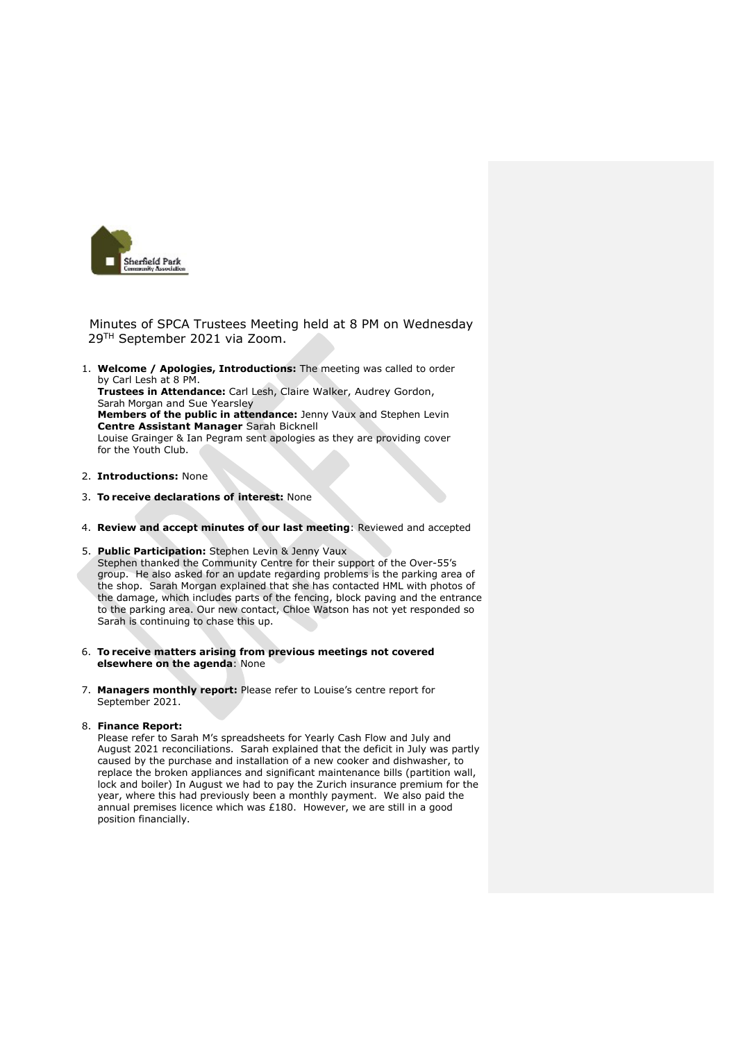

Minutes of SPCA Trustees Meeting held at 8 PM on Wednesday 29TH September 2021 via Zoom.

- 1. **Welcome / Apologies, Introductions:** The meeting was called to order by Carl Lesh at 8 PM. **Trustees in Attendance:** Carl Lesh, Claire Walker, Audrey Gordon, Sarah Morgan and Sue Yearsley **Members of the public in attendance:** Jenny Vaux and Stephen Levin **Centre Assistant Manager** Sarah Bicknell Louise Grainger & Ian Pegram sent apologies as they are providing cover for the Youth Club.
- 2. **Introductions:** None
- 3. **To receive declarations of interest:** None
- 4. **Review and accept minutes of our last meeting**: Reviewed and accepted
- 5. **Public Participation:** Stephen Levin & Jenny Vaux Stephen thanked the Community Centre for their support of the Over-55's group. He also asked for an update regarding problems is the parking area of the shop. Sarah Morgan explained that she has contacted HML with photos of the damage, which includes parts of the fencing, block paving and the entrance to the parking area. Our new contact, Chloe Watson has not yet responded so Sarah is continuing to chase this up.
- 6. **To receive matters arising from previous meetings not covered elsewhere on the agenda**: None
- 7. **Managers monthly report:** Please refer to Louise's centre report for September 2021.
- 8. **Finance Report:**

Please refer to Sarah M's spreadsheets for Yearly Cash Flow and July and August 2021 reconciliations. Sarah explained that the deficit in July was partly caused by the purchase and installation of a new cooker and dishwasher, to replace the broken appliances and significant maintenance bills (partition wall, lock and boiler) In August we had to pay the Zurich insurance premium for the year, where this had previously been a monthly payment. We also paid the annual premises licence which was £180. However, we are still in a good position financially.